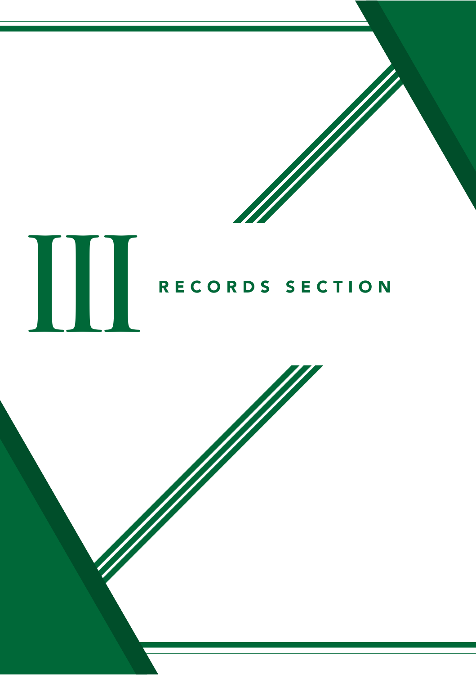



# RECORDS SECTION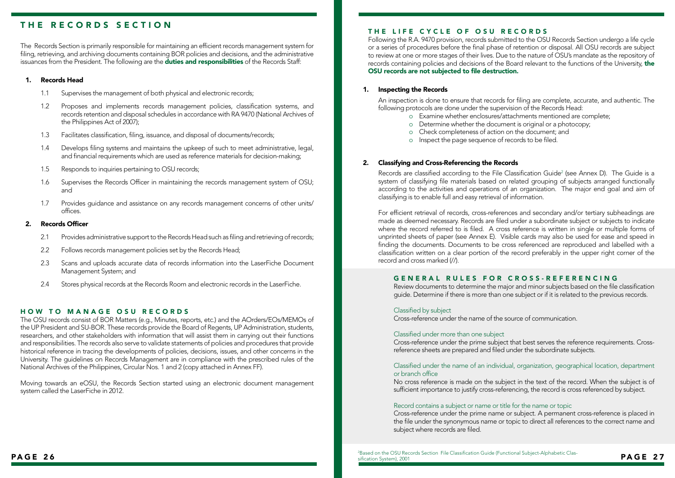## THE RECORDS SECTION

The Records Section is primarily responsible for maintaining an efficient records management system for filing, retrieving, and archiving documents containing BOR policies and decisions, and the administrative issuances from the President. The following are the duties and responsibilities of the Records Staff:

### 1. Records Head

- 1.1 Supervises the management of both physical and electronic records;
- 1.2 Proposes and implements records management policies, classification systems, and records retention and disposal schedules in accordance with RA 9470 (National Archives of the Philippines Act of 2007);
- 1.3 Facilitates classification, filing, issuance, and disposal of documents/records;
- 1.4 Develops filing systems and maintains the upkeep of such to meet administrative, legal, and financial requirements which are used as reference materials for decision-making;
- 1.5 Responds to inquiries pertaining to OSU records;
- 1.6 Supervises the Records Officer in maintaining the records management system of OSU; and
- 1.7 Provides guidance and assistance on any records management concerns of other units/ offices.

### 2. Records Officer

- 2.1 Provides administrative support to the Records Head such as filing and retrieving of records;
- 2.2 Follows records management policies set by the Records Head;
- 2.3 Scans and uploads accurate data of records information into the LaserFiche Document Management System; and
- 2.4 Stores physical records at the Records Room and electronic records in the LaserFiche.

#### HOW TO MANAGE OSU RECORDS

The OSU records consist of BOR Matters (e.g., Minutes, reports, etc.) and the AOrders/EOs/MEMOs of the UP President and SU-BOR. These records provide the Board of Regents, UP Administration, students, researchers, and other stakeholders with information that will assist them in carrying out their functions and responsibilities. The records also serve to validate statements of policies and procedures that provide historical reference in tracing the developments of policies, decisions, issues, and other concerns in the University. The guidelines on Records Management are in compliance with the prescribed rules of the National Archives of the Philippines, Circular Nos. 1 and 2 (copy attached in Annex FF).

Moving towards an eOSU, the Records Section started using an electronic document management system called the LaserFiche in 2012.

### THE LIFE CYCLE OF OSU RECORDS

Following the R.A. 9470 provision, records submitted to the OSU Records Section undergo a life cycle or a series of procedures before the final phase of retention or disposal. All OSU records are subject to review at one or more stages of their lives. Due to the nature of OSU's mandate as the repository of records containing policies and decisions of the Board relevant to the functions of the University, the OSU records are not subjected to file destruction.

#### 1. Inspecting the Records

An inspection is done to ensure that records for filing are complete, accurate, and authentic. The following protocols are done under the supervision of the Records Head:

- o Examine whether enclosures/attachments mentioned are complete;
- o Determine whether the document is original or a photocopy;
- o Check completeness of action on the document; and
- o Inspect the page sequence of records to be filed.

#### 2. Classifying and Cross-Referencing the Records

Records are classified according to the File Classification Guide<sup>2</sup> (see Annex D). The Guide is a system of classifying file materials based on related grouping of subjects arranged functionally according to the activities and operations of an organization. The major end goal and aim of classifying is to enable full and easy retrieval of information.

For efficient retrieval of records, cross-references and secondary and/or tertiary subheadings are made as deemed necessary. Records are filed under a subordinate subject or subjects to indicate where the record referred to is filed. A cross reference is written in single or multiple forms of unprinted sheets of paper (see Annex E). Visible cards may also be used for ease and speed in finding the documents. Documents to be cross referenced are reproduced and labelled with a classification written on a clear portion of the record preferably in the upper right corner of the record and cross marked (//).

### GENERAL RULES FOR CROSS-REFERENCING

Review documents to determine the major and minor subjects based on the file classification guide. Determine if there is more than one subject or if it is related to the previous records.

#### Classified by subject

Cross-reference under the name of the source of communication.

#### Classified under more than one subject

Cross-reference under the prime subject that best serves the reference requirements. Crossreference sheets are prepared and filed under the subordinate subjects.

#### Classified under the name of an individual, organization, geographical location, department or branch office

No cross reference is made on the subject in the text of the record. When the subject is of sufficient importance to justify cross-referencing, the record is cross referenced by subject.

#### Record contains a subject or name or title for the name or topic

Cross-reference under the prime name or subject. A permanent cross-reference is placed in the file under the synonymous name or topic to direct all references to the correct name and subject where records are filed.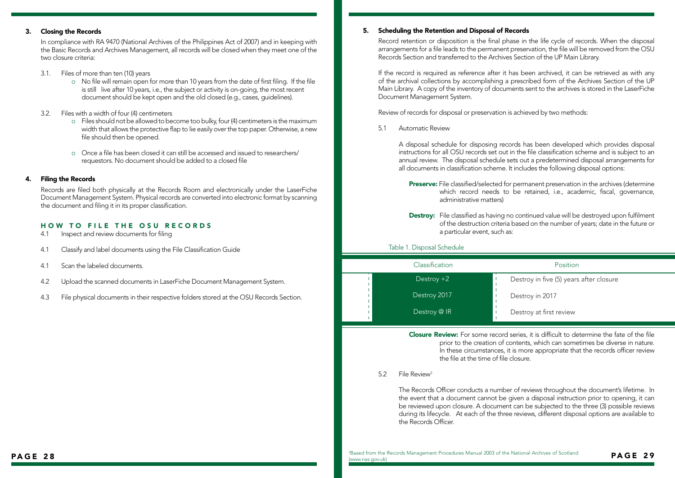### 3. Closing the Records

In compliance with RA 9470 (National Archives of the Philippines Act of 2007) and in keeping with the Basic Records and Archives Management, all records will be closed when they meet one of the two closure criteria:

- 3.1. Files of more than ten (10) years
	- o No file will remain open for more than 10 years from the date of first filing. If the file is still live after 10 years, i.e., the subject or activity is on-going, the most recent document should be kept open and the old closed (e.g., cases, guidelines).
- 3.2. Files with a width of four (4) centimeters
	- o Files should not be allowed to become too bulky, four (4) centimeters is the maximum width that allows the protective flap to lie easily over the top paper. Otherwise, a new file should then be opened.
	- o Once a file has been closed it can still be accessed and issued to researchers/ requestors. No document should be added to a closed file

### 4. Filing the Records

Records are filed both physically at the Records Room and electronically under the LaserFiche Document Management System. Physical records are converted into electronic format by scanning the document and filing it in its proper classification.

### HOW TO FILE THE OSU RECORDS

- 4.1 Inspect and review documents for filing
- 4.1 Classify and label documents using the File Classification Guide
- 4.1 Scan the labeled documents.
- 4.2 Upload the scanned documents in LaserFiche Document Management System.
- 4.3 File physical documents in their respective folders stored at the OSU Records Section.

### 5. Scheduling the Retention and Disposal of Records

Record retention or disposition is the final phase in the life cycle of records. When the disposal arrangements for a file leads to the permanent preservation, the file will be removed from the OSU Records Section and transferred to the Archives Section of the UP Main Library.

If the record is required as reference after it has been archived, it can be retrieved as with any of the archival collections by accomplishing a prescribed form of the Archives Section of the UP Main Library. A copy of the inventory of documents sent to the archives is stored in the LaserFiche Document Management System.

Review of records for disposal or preservation is achieved by two methods:

5.1 Automatic Review

A disposal schedule for disposing records has been developed which provides disposal instructions for all OSU records set out in the file classification scheme and is subject to an annual review. The disposal schedule sets out a predetermined disposal arrangements for all documents in classification scheme. It includes the following disposal options:

- Preserve: File classified/selected for permanent preservation in the archives (determine which record needs to be retained, i.e., academic, fiscal, governance, administrative matters)
- **Destroy:** File classified as having no continued value will be destroyed upon fulfilment of the destruction criteria based on the number of years; date in the future or a particular event, such as:

### Table 1. Disposal Schedule

| Classification | Position                                |
|----------------|-----------------------------------------|
| $Destroy + 2$  | Destroy in five (5) years after closure |
| Destroy 2017   | Destroy in 2017                         |
| Destroy @ IR   | Destroy at first review                 |

Closure Review: For some record series, it is difficult to determine the fate of the file prior to the creation of contents, which can sometimes be diverse in nature. In these circumstances, it is more appropriate that the records officer review the file at the time of file closure.

#### 5.2 File Review3

The Records Officer conducts a number of reviews throughout the document's lifetime. In the event that a document cannot be given a disposal instruction prior to opening, it can be reviewed upon closure. A document can be subjected to the three (3) possible reviews during its lifecycle. At each of the three reviews, different disposal options are available to the Records Officer.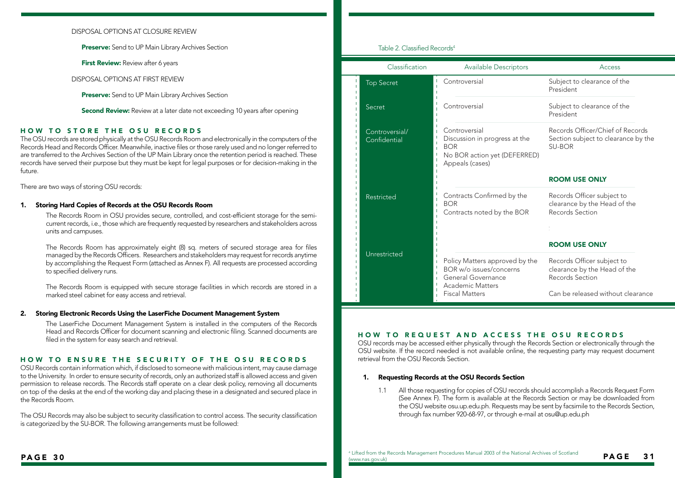### DISPOSAL OPTIONS AT CLOSURE REVIEW

Preserve: Send to UP Main Library Archives Section

**First Review:** Review after 6 years

DISPOSAL OPTIONS AT FIRST REVIEW

**Preserve:** Send to UP Main Library Archives Section

**Second Review:** Review at a later date not exceeding 10 years after opening

### HOW TO STORE THE OSU RECORDS

The OSU records are stored physically at the OSU Records Room and electronically in the computers of the Records Head and Records Officer. Meanwhile, inactive files or those rarely used and no longer referred to are transferred to the Archives Section of the UP Main Library once the retention period is reached. These records have served their purpose but they must be kept for legal purposes or for decision-making in the future.

There are two ways of storing OSU records:

#### 1. Storing Hard Copies of Records at the OSU Records Room

The Records Room in OSU provides secure, controlled, and cost-efficient storage for the semicurrent records, i.e., those which are frequently requested by researchers and stakeholders across units and campuses.

The Records Room has approximately eight (8) sq. meters of secured storage area for files managed by the Records Officers. Researchers and stakeholders may request for records anytime by accomplishing the Request Form (attached as Annex F). All requests are processed according to specified delivery runs.

The Records Room is equipped with secure storage facilities in which records are stored in a marked steel cabinet for easy access and retrieval.

#### 2. Storing Electronic Records Using the LaserFiche Document Management System

The LaserFiche Document Management System is installed in the computers of the Records Head and Records Officer for document scanning and electronic filing. Scanned documents are filed in the system for easy search and retrieval.

#### HOW TO ENSURE THE SECURITY OF THE OSU RECORDS

OSU Records contain information which, if disclosed to someone with malicious intent, may cause damage to the University. In order to ensure security of records, only an authorized staff is allowed access and given permission to release records. The Records staff operate on a clear desk policy, removing all documents on top of the desks at the end of the working day and placing these in a designated and secured place in the Records Room.

The OSU Records may also be subject to security classification to control access. The security classification is categorized by the SU-BOR. The following arrangements must be followed:

### Table 2. Classified Records4

|   | Classification                 | <b>Available Descriptors</b>                                                                                    | Access                                                                                   |
|---|--------------------------------|-----------------------------------------------------------------------------------------------------------------|------------------------------------------------------------------------------------------|
| т | <b>Top Secret</b>              | Controversial<br>т                                                                                              | Subject to clearance of the<br>President                                                 |
|   | Secret                         | Controversial                                                                                                   | Subject to clearance of the<br>President                                                 |
|   | Controversial/<br>Confidential | Controversial<br>Discussion in progress at the<br><b>BOR</b><br>No BOR action yet (DEFERRED)<br>Appeals (cases) | Records Officer/Chief of Records<br>Section subject to clearance by the<br><b>SU-BOR</b> |
|   |                                |                                                                                                                 | <b>ROOM USE ONLY</b>                                                                     |
|   | Restricted                     | Contracts Confirmed by the<br><b>BOR</b><br>Ï<br>Contracts noted by the BOR                                     | Records Officer subject to<br>clearance by the Head of the<br>Records Section            |
|   |                                |                                                                                                                 | <b>ROOM USE ONLY</b>                                                                     |
|   | Unrestricted                   | Policy Matters approved by the<br>BOR w/o issues/concerns<br>General Governance<br>Academic Matters             | Records Officer subject to<br>clearance by the Head of the<br>Records Section            |
|   |                                | <b>Fiscal Matters</b>                                                                                           | Can be released without clearance                                                        |

#### HOW TO REQUEST AND ACCESS THE OSU RECORDS

OSU records may be accessed either physically through the Records Section or electronically through the OSU website. If the record needed is not available online, the requesting party may request document retrieval from the OSU Records Section.

#### 1. Requesting Records at the OSU Records Section

1.1 All those requesting for copies of OSU records should accomplish a Records Request Form (See Annex F). The form is available at the Records Section or may be downloaded from the OSU website osu.up.edu.ph. Requests may be sent by facsimile to the Records Section, through fax number 920-68-97, or through e-mail at osu@up.edu.ph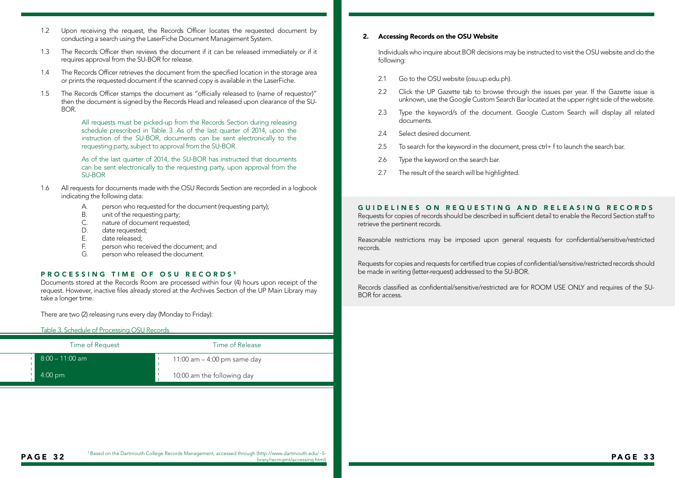- 1.2 Upon receiving the request, the Records Officer locates the requested document by conducting a search using the LaserFiche Document Management System.
- 1.3 The Records Officer then reviews the document if it can be released immediately or if it requires approval from the SU-BOR for release.
- 1.4 The Records Officer retrieves the document from the specified location in the storage area or prints the requested document if the scanned copy is available in the LaserFiche.
- 1.5 The Records Officer stamps the document as "officially released to (name of requestor)" then the document is signed by the Records Head and released upon clearance of the SU-BOR.

All requests must be picked-up from the Records Section during releasing schedule prescribed in Table 3. As of the last quarter of 2014, upon the instruction of the SU-BOR, documents can be sent electronically to the requesting party, subject to approval from the SU-BOR.

As of the last quarter of 2014, the SU-BOR has instructed that documents can be sent electronically to the requesting party, upon approval from the SU-BOR

- 1.6 All requests for documents made with the OSU Records Section are recorded in a logbook indicating the following data:
	- A. person who requested for the document (requesting party);
	- B. unit of the requesting party;
	- C. nature of document requested;
	- D. date requested;<br>F. date released:
	- date released:
	- F. person who received the document; and
	- G. person who released the document.

### PROCESSING TIME OF OSU RECORDS<sup>5</sup>

Documents stored at the Records Room are processed within four (4) hours upon receipt of the request. However, inactive files already stored at the Archives Section of the UP Main Library may take a longer time.

There are two (2) releasing runs every day (Monday to Friday):

#### Table 3. Schedule of Processing OSU Records

| Time of Request     | Time of Release               |
|---------------------|-------------------------------|
| ' 8:00 – 11:00 am . | 11:00 am $-$ 4:00 pm same day |
| $4:00 \text{ pm}$   | 10:00 am the following day    |

#### 2. Accessing Records on the OSU Website

Individuals who inquire about BOR decisions may be instructed to visit the OSU website and do the following:

- 2.1 Go to the OSU website (osu.up.edu.ph).
- 2.2 Click the UP Gazette tab to browse through the issues per year. If the Gazette issue is unknown, use the Google Custom Search Bar located at the upper right side of the website.
- 2.3 Type the keyword/s of the document. Google Custom Search will display all related documents.
- 2.4 Select desired document.
- 2.5 To search for the keyword in the document, press ctrl+ f to launch the search bar.
- 2.6 Type the keyword on the search bar.
- 2.7 The result of the search will be highlighted.

#### GUIDELINES ON REQUESTING AND RELEASING RECORDS

Requests for copies of records should be described in sufficient detail to enable the Record Section staff to retrieve the pertinent records.

Reasonable restrictions may be imposed upon general requests for confidential/sensitive/restricted records.

Requests for copies and requests for certified true copies of confidential/sensitive/restricted records should be made in writing (letter-request) addressed to the SU-BOR.

Records classified as confidential/sensitive/restricted are for ROOM USE ONLY and requires of the SU-BOR for access.